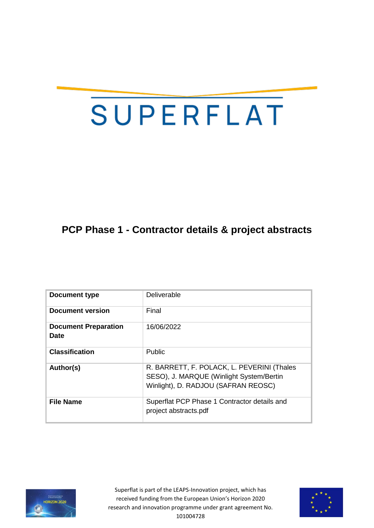# SUPERFLAT

# **PCP Phase 1 - Contractor details & project abstracts**

| Document type                              | Deliverable                                                                                                                   |
|--------------------------------------------|-------------------------------------------------------------------------------------------------------------------------------|
| Document version                           | Final                                                                                                                         |
| <b>Document Preparation</b><br><b>Date</b> | 16/06/2022                                                                                                                    |
| <b>Classification</b>                      | Public                                                                                                                        |
| Author(s)                                  | R. BARRETT, F. POLACK, L. PEVERINI (Thales<br>SESO), J. MARQUE (Winlight System/Bertin<br>Winlight), D. RADJOU (SAFRAN REOSC) |
| <b>File Name</b>                           | Superflat PCP Phase 1 Contractor details and<br>project abstracts.pdf                                                         |



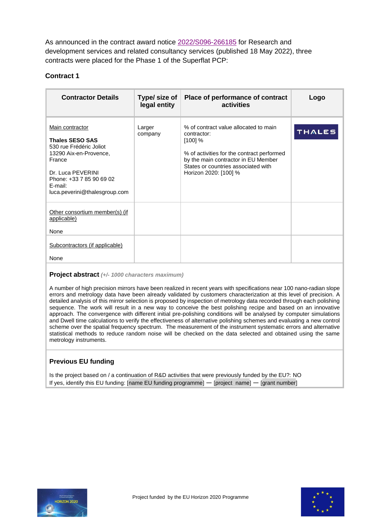As announced in the contract award notice [2022/S096-266185](http://ted.europa.eu/udl?uri=TED:NOTICE:266185-2022:TEXT:EN:HTML) for Research and development services and related consultancy services (published 18 May 2022), three contracts were placed for the Phase 1 of the Superflat PCP:

# **Contract 1**

| <b>Contractor Details</b>                                                                                                                                                                             | Type/ size of<br>legal entity | Place of performance of contract<br>activities                                                                                                                                                                         | Logo          |
|-------------------------------------------------------------------------------------------------------------------------------------------------------------------------------------------------------|-------------------------------|------------------------------------------------------------------------------------------------------------------------------------------------------------------------------------------------------------------------|---------------|
| Main contractor<br><b>Thales SESO SAS</b><br>530 rue Frédéric Joliot<br>13290 Aix-en-Provence,<br>France<br>Dr. Luca PEVERINI<br>Phone: +33 7 85 90 69 02<br>E-mail:<br>luca.peverini@thalesgroup.com | Larger<br>company             | % of contract value allocated to main<br>contractor:<br>$[100]$ %<br>% of activities for the contract performed<br>by the main contractor in EU Member<br>States or countries associated with<br>Horizon 2020: [100] % | <b>THALES</b> |
| Other consortium member(s) (if<br>applicable)<br>None                                                                                                                                                 |                               |                                                                                                                                                                                                                        |               |
| Subcontractors (if applicable)<br>None                                                                                                                                                                |                               |                                                                                                                                                                                                                        |               |

#### **Project abstract** *(+/- 1000 characters maximum)*

A number of high precision mirrors have been realized in recent years with specifications near 100 nano-radian slope errors and metrology data have been already validated by customers characterization at this level of precision. A detailed analysis of this mirror selection is proposed by inspection of metrology data recorded through each polishing sequence. The work will result in a new way to conceive the best polishing recipe and based on an innovative approach. The convergence with different initial pre-polishing conditions will be analysed by computer simulations and Dwell time calculations to verify the effectiveness of alternative polishing schemes and evaluating a new control scheme over the spatial frequency spectrum. The measurement of the instrument systematic errors and alternative statistical methods to reduce random noise will be checked on the data selected and obtained using the same metrology instruments.

# **Previous EU funding**

Is the project based on / a continuation of R&D activities that were previously funded by the EU?: NO If yes, identify this EU funding: [name EU funding programme] — [project name] — [grant number]

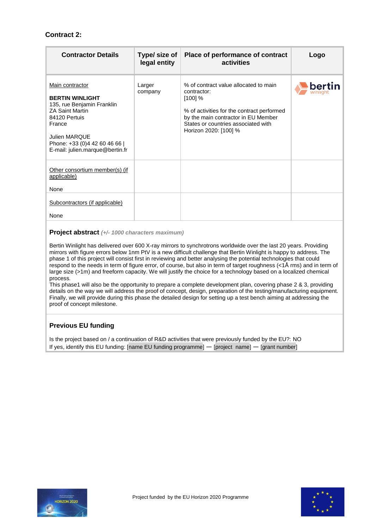# **Contract 2:**

| <b>Contractor Details</b>                                                                                                                                                                                                | Type/ size of<br>legal entity | Place of performance of contract<br>activities                                                                                                                                                                         | Logo   |
|--------------------------------------------------------------------------------------------------------------------------------------------------------------------------------------------------------------------------|-------------------------------|------------------------------------------------------------------------------------------------------------------------------------------------------------------------------------------------------------------------|--------|
| Main contractor<br><b>BERTIN WINLIGHT</b><br>135, rue Benjamin Franklin<br><b>ZA Saint Martin</b><br>84120 Pertuis<br>France<br><b>Julien MARQUE</b><br>Phone: +33 (0)4 42 60 46 66  <br>E-mail: julien.marque@bertin.fr | Larger<br>company             | % of contract value allocated to main<br>contractor:<br>$[100]$ %<br>% of activities for the contract performed<br>by the main contractor in EU Member<br>States or countries associated with<br>Horizon 2020: [100] % | bertin |
| Other consortium member(s) (if<br>applicable)<br>None                                                                                                                                                                    |                               |                                                                                                                                                                                                                        |        |
| Subcontractors (if applicable)<br>None                                                                                                                                                                                   |                               |                                                                                                                                                                                                                        |        |

#### **Project abstract** *(+/- 1000 characters maximum)*

Bertin Winlight has delivered over 600 X-ray mirrors to synchrotrons worldwide over the last 20 years. Providing mirrors with figure errors below 1nm PtV is a new difficult challenge that Bertin Winlight is happy to address. The phase 1 of this project will consist first in reviewing and better analysing the potential technologies that could respond to the needs in term of figure error, of course, but also in term of target roughness (<1Å rms) and in term of large size (>1m) and freeform capacity. We will justify the choice for a technology based on a localized chemical process.

This phase1 will also be the opportunity to prepare a complete development plan, covering phase 2 & 3, providing details on the way we will address the proof of concept, design, preparation of the testing/manufacturing equipment. Finally, we will provide during this phase the detailed design for setting up a test bench aiming at addressing the proof of concept milestone.

#### **Previous EU funding**

Is the project based on / a continuation of R&D activities that were previously funded by the EU?: NO If yes, identify this EU funding: [name EU funding programme] — [project name] — [grant number]